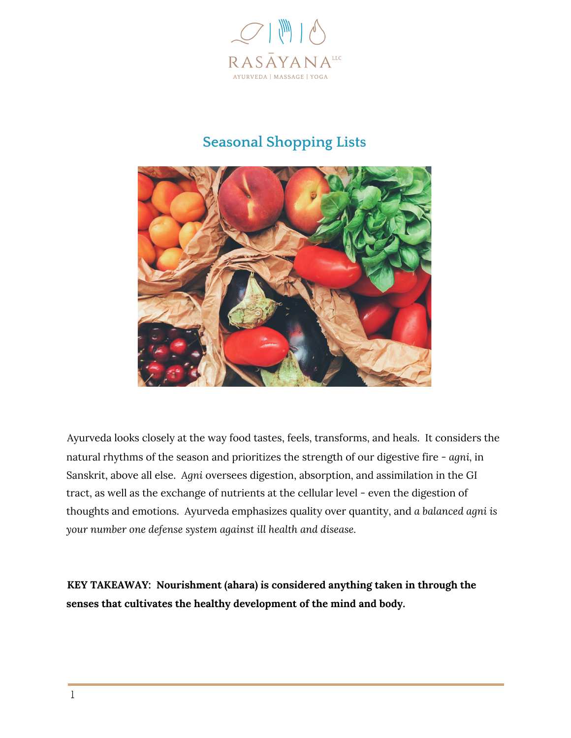

#### **Seasonal Shopping Lists**



Ayurveda looks closely at the way food tastes, feels, transforms, and heals. It considers the natural rhythms of the season and prioritizes the strength of our digestive fire - *agni,* in Sanskrit, above all else. *Agni* oversees digestion, absorption, and assimilation in the GI tract, as well as the exchange of nutrients at the cellular level - even the digestion of thoughts and emotions. Ayurveda emphasizes quality over quantity, and *a balanced agni is your number one defense system against ill health and disease.*

**KEY TAKEAWAY: Nourishment (ahara) is considered anything taken in through the senses that cultivates the healthy development of the mind and body.**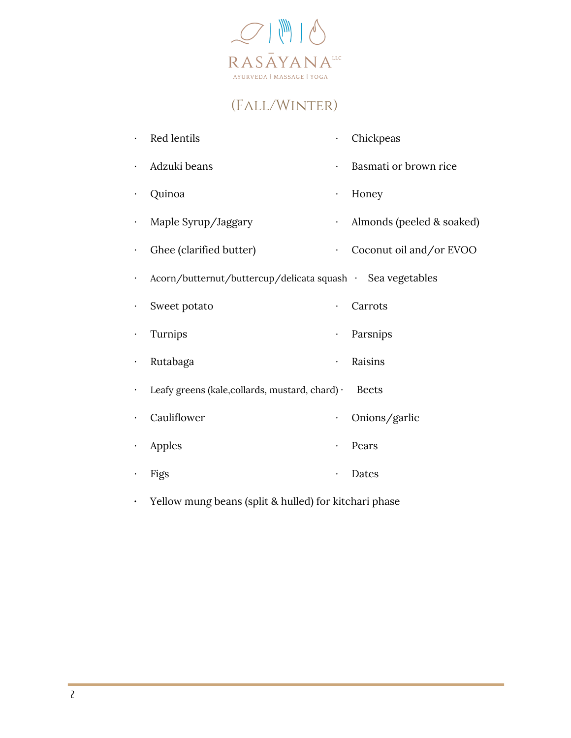

## (Fall/Winter)

|           | Red lentils                                                | $\bullet$ | Chickpeas                 |
|-----------|------------------------------------------------------------|-----------|---------------------------|
|           | Adzuki beans                                               |           | Basmati or brown rice     |
|           | Quinoa                                                     | $\bullet$ | Honey                     |
|           | Maple Syrup/Jaggary                                        | $\bullet$ | Almonds (peeled & soaked) |
|           | Ghee (clarified butter)                                    | $\bullet$ | Coconut oil and/or EVOO   |
|           | Acorn/butternut/buttercup/delicata squash · Sea vegetables |           |                           |
|           | Sweet potato                                               | $\bullet$ | Carrots                   |
|           | Turnips                                                    |           | Parsnips                  |
|           | Rutabaga                                                   | $\bullet$ | Raisins                   |
| $\bullet$ | Leafy greens (kale, collards, mustard, chard) ·            |           | <b>Beets</b>              |
|           | Cauliflower                                                | $\bullet$ | Onions/garlic             |
|           | Apples                                                     | $\bullet$ | Pears                     |
|           | Figs                                                       |           | Dates                     |
|           |                                                            |           |                           |

**·** Yellow mung beans (split & hulled) for kitchari phase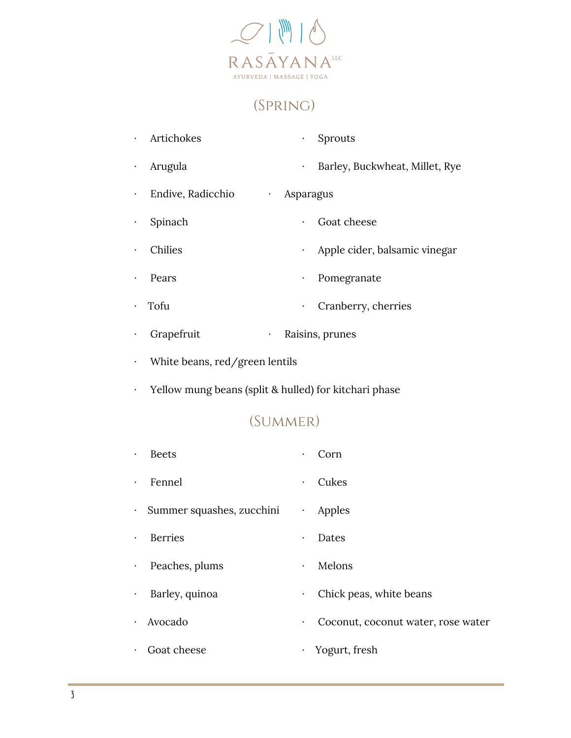

## (Spring)

|           | Artichokes                     | $\bullet$ | <b>Sprouts</b>                 |
|-----------|--------------------------------|-----------|--------------------------------|
|           | Arugula                        | $\bullet$ | Barley, Buckwheat, Millet, Rye |
| $\bullet$ | Endive, Radicchio<br>$\bullet$ | Asparagus |                                |
|           | Spinach                        | $\bullet$ | Goat cheese                    |
|           | Chilies                        | $\bullet$ | Apple cider, balsamic vinegar  |
|           | Pears                          | $\bullet$ | Pomegranate                    |
|           | Tofu                           | $\bullet$ | Cranberry, cherries            |
|           |                                |           |                                |

- · Grapefruit · Raisins, prunes
- · White beans, red/green lentils
- · Yellow mung beans (split & hulled) for kitchari phase

#### (Summer)

| $\bullet$ | <b>Beets</b>                | $\bullet$ | Corn                               |
|-----------|-----------------------------|-----------|------------------------------------|
| $\bullet$ | Fennel                      | $\bullet$ | Cukes                              |
|           | · Summer squashes, zucchini | $\bullet$ | Apples                             |
| $\bullet$ | <b>Berries</b>              | $\bullet$ | Dates                              |
| $\bullet$ | Peaches, plums              | $\bullet$ | Melons                             |
| $\bullet$ | Barley, quinoa              | $\bullet$ | Chick peas, white beans            |
| $\bullet$ | Avocado                     | ٠         | Coconut, coconut water, rose water |
| $\bullet$ | Goat cheese                 | $\bullet$ | Yogurt, fresh                      |
|           |                             |           |                                    |